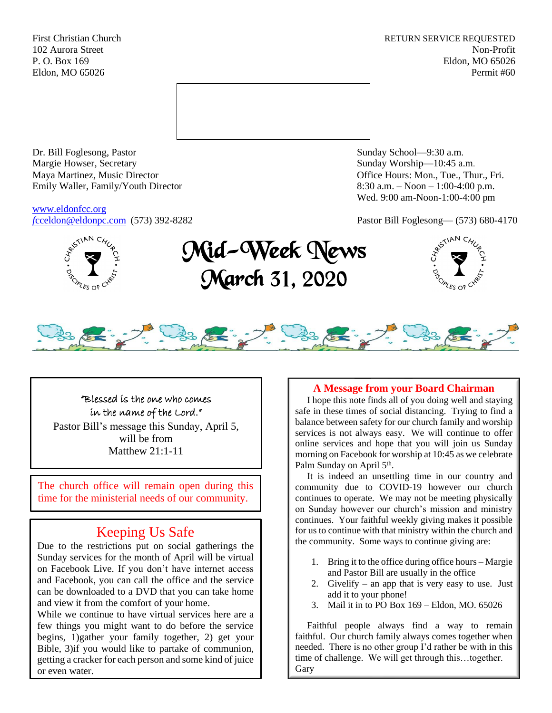First Christian Church **RETURN SERVICE REQUESTED** 102 Aurora Street Non-Profit P. O. Box 169 Eldon, MO 65026 Eldon, MO 65026 Permit #60



Dr. Bill Foglesong, Pastor Sunday School—9:30 a.m. Margie Howser, Secretary Sunday Worship—10:45 a.m. Maya Martinez, Music Director Office Hours: Mon., Tue., Thur., Fri. Emily Waller, Family/Youth Director 8:30 a.m. – Noon – 1:00-4:00 p.m.

[www.eldonfcc.org](http://www.eldonfcc.org/)

Wed. 9:00 am-Noon-1:00-4:00 pm

*f*[cceldon@eldonpc.com](mailto:fcceldon@eldonpc.com) (573) 392-8282 Pastor Bill Foglesong— (573) 680-4170



# Mid-Week News March 31, 2020





"Blessed is the one who comes in the name of the Lord." Pastor Bill's message this Sunday, April 5, will be from Matthew 21:1-11

The church office will remain open during this time for the ministerial needs of our community.

# Keeping Us Safe

Due to the restrictions put on social gatherings the Sunday services for the month of April will be virtual on Facebook Live. If you don't have internet access and Facebook, you can call the office and the service can be downloaded to a DVD that you can take home and view it from the comfort of your home.

While we continue to have virtual services here are a few things you might want to do before the service begins, 1)gather your family together, 2) get your Bible, 3)if you would like to partake of communion, getting a cracker for each person and some kind of juice or even water.

# **A Message from your Board Chairman**

 I hope this note finds all of you doing well and staying safe in these times of social distancing. Trying to find a balance between safety for our church family and worship services is not always easy. We will continue to offer online services and hope that you will join us Sunday morning on Facebook for worship at 10:45 as we celebrate Palm Sunday on April 5<sup>th</sup>.

 It is indeed an unsettling time in our country and community due to COVID-19 however our church continues to operate. We may not be meeting physically on Sunday however our church's mission and ministry continues. Your faithful weekly giving makes it possible for us to continue with that ministry within the church and the community. Some ways to continue giving are:

- 1. Bring it to the office during office hours Margie and Pastor Bill are usually in the office
- 2. Givelify an app that is very easy to use. Just add it to your phone!
- 3. Mail it in to PO Box 169 Eldon, MO. 65026

 Faithful people always find a way to remain faithful. Our church family always comes together when needed. There is no other group I'd rather be with in this time of challenge. We will get through this…together. **Gary**